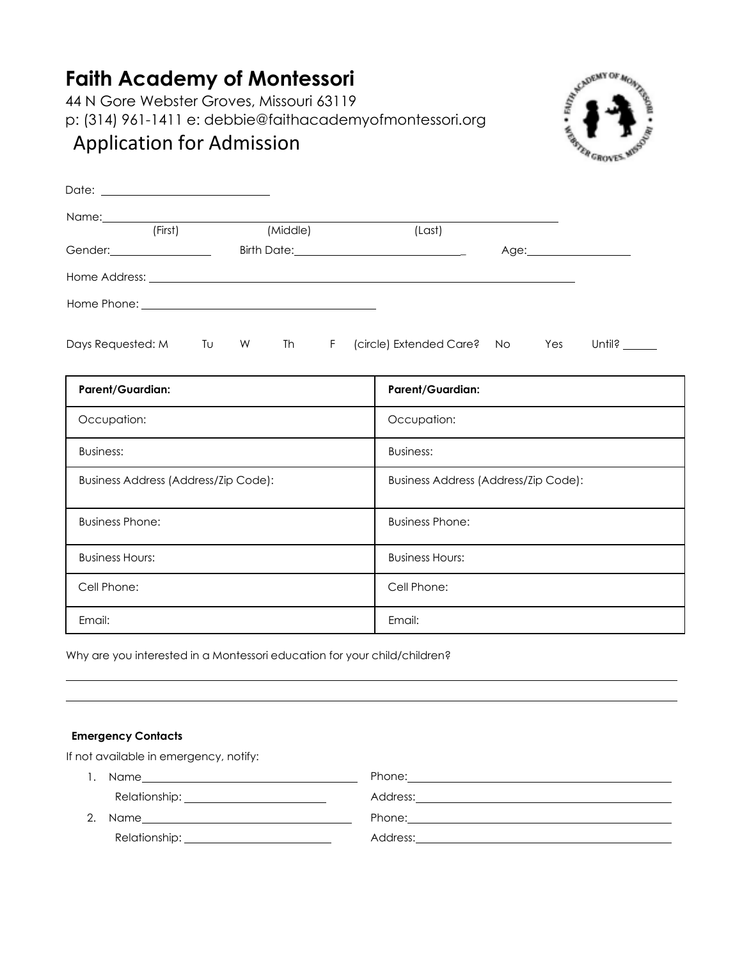# **Faith Academy of Montessori**

44 N Gore Webster Groves, Missouri 63119 p: (314) 961-1411 e: [debbie@faithacademyofmontessori.org](mailto:debbie@faithacademyofmontessori.org)



## Application for Admission

| Name: Name and the state of the state of the state of the state of the state of the state of the state of the state of the state of the state of the state of the state of the state of the state of the state of the state of |         |    |   |          |    |                                                   |    |     |                              |
|--------------------------------------------------------------------------------------------------------------------------------------------------------------------------------------------------------------------------------|---------|----|---|----------|----|---------------------------------------------------|----|-----|------------------------------|
|                                                                                                                                                                                                                                | (First) |    |   | (Middle) |    | (Last)                                            |    |     |                              |
| Gender: _____________________                                                                                                                                                                                                  |         |    |   |          |    | Birth Date: <u>______________________________</u> |    |     |                              |
|                                                                                                                                                                                                                                |         |    |   |          |    |                                                   |    |     |                              |
|                                                                                                                                                                                                                                |         |    |   |          |    |                                                   |    |     |                              |
| Days Requested: M                                                                                                                                                                                                              |         | Tυ | W | Th       | F. | (circle) Extended Care?                           | No | Yes | Until? $\_\_\_\_\_\_\_\_\_\$ |

| <b>Parent/Guardian:</b>              | <b>Parent/Guardian:</b>              |
|--------------------------------------|--------------------------------------|
| Occupation:                          | Occupation:                          |
| <b>Business:</b>                     | <b>Business:</b>                     |
| Business Address (Address/Zip Code): | Business Address (Address/Zip Code): |
| <b>Business Phone:</b>               | <b>Business Phone:</b>               |
| <b>Business Hours:</b>               | <b>Business Hours:</b>               |
| Cell Phone:                          | Cell Phone:                          |
| Email:                               | Email:                               |

Why are you interested in a Montessori education for your child/children?

### **Emergency Contacts**

If not available in emergency, notify:

|    | Name <u>__________________</u> |                                        |
|----|--------------------------------|----------------------------------------|
|    |                                | Address: <u>International Address:</u> |
| 2. |                                |                                        |
|    |                                |                                        |
|    |                                |                                        |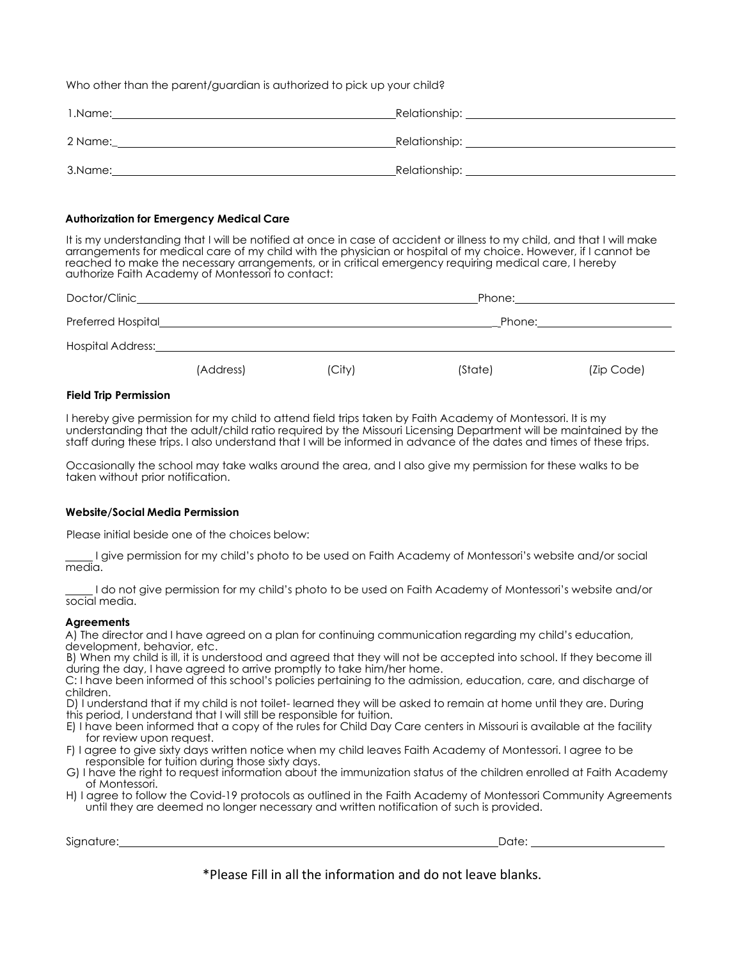Who other than the parent/guardian is authorized to pick up your child?

| 1.Name: | _Relationship: _ |
|---------|------------------|
| 2 Name: | _Relationship: _ |
| 3.Name: | Relationship:    |

#### **Authorization for Emergency Medical Care**

It is my understanding that I will be notified at once in case of accident or illness to my child, and that I will make arrangements for medical care of my child with the physician or hospital of my choice. However, if I cannot be reached to make the necessary arrangements, or in critical emergency requiring medical care, I hereby authorize Faith Academy of Montessori to contact:

| Doctor/Clinic_     |           |        | Phone:  |            |  |  |
|--------------------|-----------|--------|---------|------------|--|--|
| Preferred Hospital |           |        | Phone:  |            |  |  |
| Hospital Address:  |           |        |         |            |  |  |
|                    | (Address) | (City) | (State) | (Zip Code) |  |  |

#### **Field Trip Permission**

I hereby give permission for my child to attend field trips taken by Faith Academy of Montessori. It is my understanding that the adult/child ratio required by the Missouri Licensing Department will be maintained by the staff during these trips. I also understand that I will be informed in advance of the dates and times of these trips.

Occasionally the school may take walks around the area, and I also give my permission for these walks to be taken without prior notification.

#### **Website/Social Media Permission**

Please initial beside one of the choices below:

I give permission for my child's photo to be used on Faith Academy of Montessori's website and/or social media.

I do not give permission for my child's photo to be used on Faith Academy of Montessori's website and/or social media.

#### **Agreements**

A) The director and I have agreed on a plan for continuing communication regarding my child's education, development, behavior, etc.

B) When my child is ill, it is understood and agreed that they will not be accepted into school. If they become ill during the day, I have agreed to arrive promptly to take him/her home.

C: I have been informed of this school's policies pertaining to the admission, education, care, and discharge of children.

D) I understand that if my child is not toilet- learned they will be asked to remain at home until they are. During this period, I understand that I will still be responsible for tuition.

- E) I have been informed that a copy of the rules for Child Day Care centers in Missouri is available at the facility for review upon request.
- F) I agree to give sixty days written notice when my child leaves Faith Academy of Montessori. I agree to be responsible for tuition during those sixty days.
- G) I have the right to request information about the immunization status of the children enrolled at Faith Academy of Montessori.
- H) I agree to follow the Covid-19 protocols as outlined in the Faith Academy of Montessori Community Agreements until they are deemed no longer necessary and written notification of such is provided.

Signature: Date: Date: Date: Date: Date: Date: Date: Date: Date: Date: Date: Date: Date: Date: Date: Date: Date: Date: Date: Date: Date: Date: Date: Date: Date: Date: Date: Date: Date: Date: Date: Date: Date: Date: Date: D

\*Please Fill in all the information and do not leave blanks.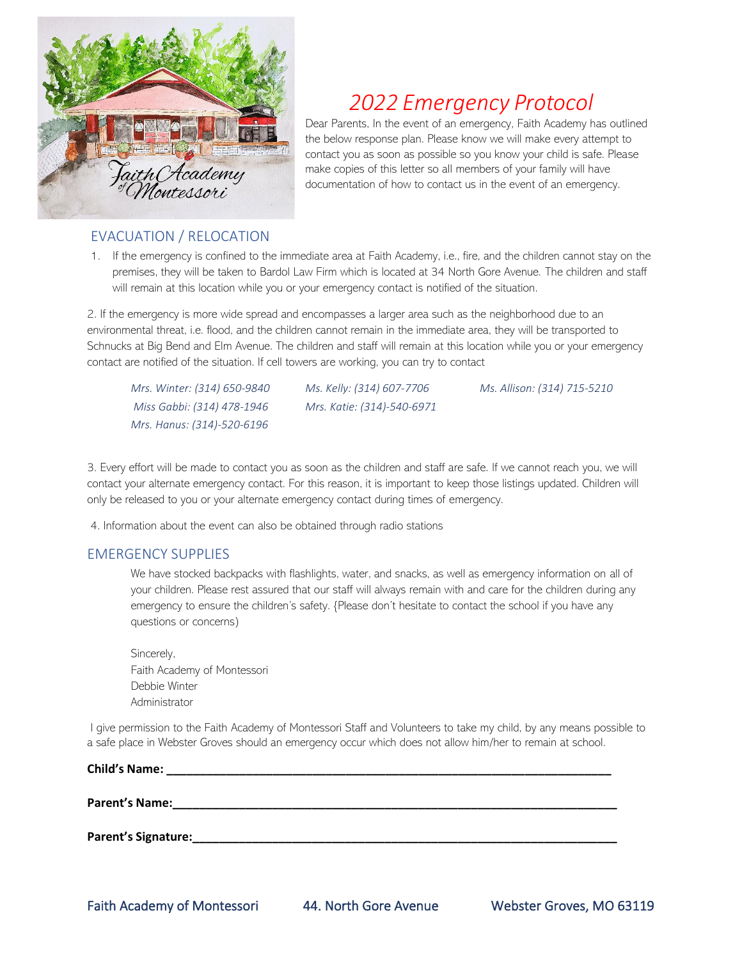

# *2022 Emergency Protocol*

Dear Parents, In the event of an emergency, Faith Academy has outlined the below response plan. Please know we will make every attempt to contact you as soon as possible so you know your child is safe. Please make copies of this letter so all members of your family will have documentation of how to contact us in the event of an emergency.

## EVACUATION / RELOCATION

1. If the emergency is confined to the immediate area at Faith Academy, i.e., fire, and the children cannot stay on the premises, they will be taken to Bardol Law Firm which is located at 34 North Gore Avenue. The children and staff will remain at this location while you or your emergency contact is notified of the situation.

2. If the emergency is more wide spread and encompasses a larger area such as the neighborhood due to an environmental threat, i.e. flood, and the children cannot remain in the immediate area, they will be transported to Schnucks at Big Bend and Elm Avenue. The children and staff will remain at this location while you or your emergency contact are notified of the situation. If cell towers are working, you can try to contact

*Mrs. Winter: (314) 650-9840 Ms. Kelly: (314) 607-7706 Miss Gabbi: (314) 478-1946 Mrs. Katie: (314)-540-6971 Mrs. Hanus: (314)-520-6196*

*Ms. Allison: (314) 715-5210* 

3. Every effort will be made to contact you as soon as the children and staff are safe. If we cannot reach you, we will contact your alternate emergency contact. For this reason, it is important to keep those listings updated. Children will only be released to you or your alternate emergency contact during times of emergency.

4. Information about the event can also be obtained through radio stations

### EMERGENCY SUPPLIES

We have stocked backpacks with flashlights, water, and snacks, as well as emergency information on all of your children. Please rest assured that our staff will always remain with and care for the children during any emergency to ensure the children's safety. {Please don't hesitate to contact the school if you have any questions or concerns)

Sincerely, Faith Academy of Montessori Debbie Winter Administrator

I give permission to the Faith Academy of Montessori Staff and Volunteers to take my child, by any means possible to a safe place in Webster Groves should an emergency occur which does not allow him/her to remain at school.

| <b>Child's Name:</b>  |  |  |
|-----------------------|--|--|
| <b>Parent's Name:</b> |  |  |
| Parent's Signature:   |  |  |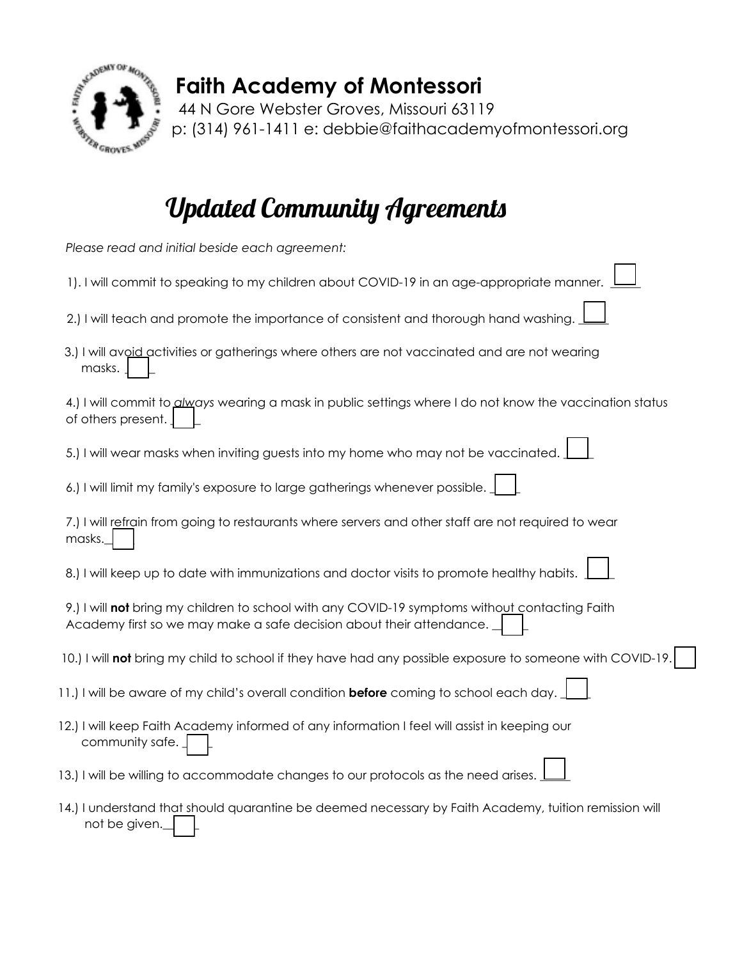

# **Faith Academy of Montessori**

44 N Gore Webster Groves, Missouri 63119 p: (314) 961-1411 e: debbie@faithacademyofmontessori.org

# Updated Community Agreements

| Please read and initial beside each agreement:                                                                                                                                                                                                    |
|---------------------------------------------------------------------------------------------------------------------------------------------------------------------------------------------------------------------------------------------------|
| 1). I will commit to speaking to my children about COVID-19 in an age-appropriate manner.                                                                                                                                                         |
| 2.) I will teach and promote the importance of consistent and thorough hand washing.                                                                                                                                                              |
| 3.) I will avoid activities or gatherings where others are not vaccinated and are not wearing<br>masks.                                                                                                                                           |
| 4.) I will commit to <i>glways</i> wearing a mask in public settings where I do not know the vaccination status<br>of others present.                                                                                                             |
| 5.) I will wear masks when inviting guests into my home who may not be vaccinated.                                                                                                                                                                |
| 6.) I will limit my family's exposure to large gatherings whenever possible.                                                                                                                                                                      |
| 7.) I will refrain from going to restaurants where servers and other staff are not required to wear<br>masks.                                                                                                                                     |
| 8.) I will keep up to date with immunizations and doctor visits to promote healthy habits.                                                                                                                                                        |
| 9.) I will not bring my children to school with any COVID-19 symptoms without contacting Faith<br>Academy first so we may make a safe decision about their attendance.                                                                            |
| 10.) I will not bring my child to school if they have had any possible exposure to someone with COVID-19.                                                                                                                                         |
| 11.) I will be aware of my child's overall condition before coming to school each day.                                                                                                                                                            |
| 12.) I will keep Faith Academy informed of any information I feel will assist in keeping our<br>community safe.                                                                                                                                   |
| 13.) I will be willing to accommodate changes to our protocols as the need arises.                                                                                                                                                                |
| $\mathbf{r}$ , and $\mathbf{r}$ , and $\mathbf{r}$ , and $\mathbf{r}$ , and $\mathbf{r}$ , and $\mathbf{r}$ , and $\mathbf{r}$<br>the contract of the contract of the contract of the contract of the contract of the contract of the contract of |

|                      | 14.) I understand that should quarantine be deemed necessary by Faith Academy, tuition remission will |  |  |
|----------------------|-------------------------------------------------------------------------------------------------------|--|--|
| not be given. $\Box$ |                                                                                                       |  |  |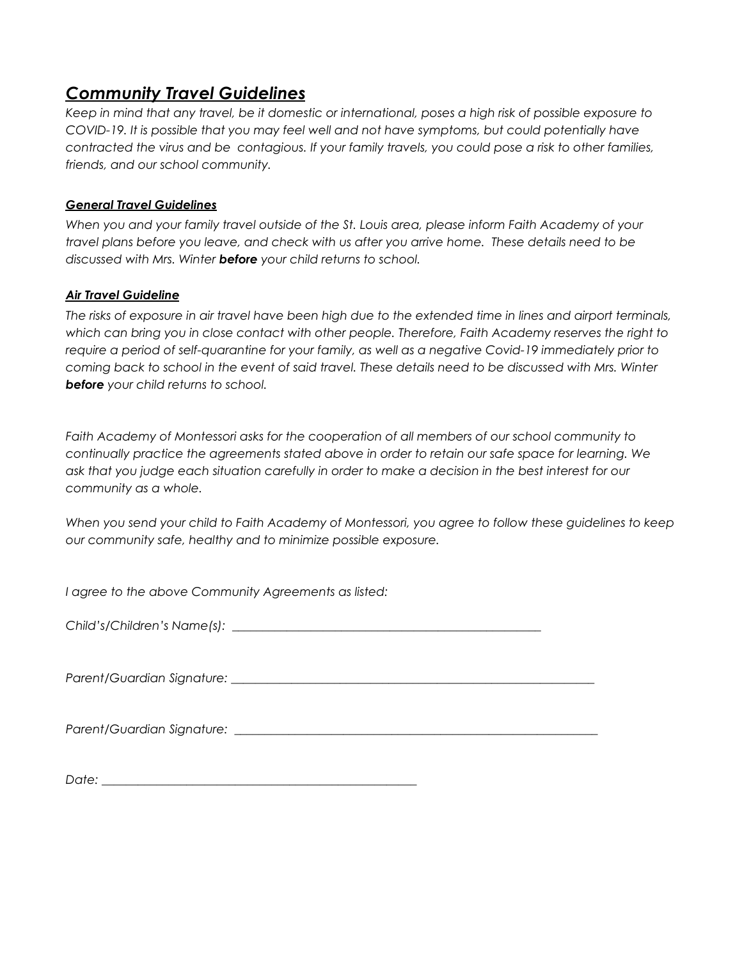## *Community Travel Guidelines*

*Keep in mind that any travel, be it domestic or international, poses a high risk of possible exposure to COVID-19. It is possible that you may feel well and not have symptoms, but could potentially have contracted the virus and be contagious. If your family travels, you could pose a risk to other families, friends, and our school community.*

### *General Travel Guidelines*

*When you and your family travel outside of the St. Louis area, please inform Faith Academy of your travel plans before you leave, and check with us after you arrive home. These details need to be discussed with Mrs. Winter before your child returns to school.*

### *Air Travel Guideline*

*The risks of exposure in air travel have been high due to the extended time in lines and airport terminals, which can bring you in close contact with other people. Therefore, Faith Academy reserves the right to require a period of self-quarantine for your family, as well as a negative Covid-19 immediately prior to coming back to school in the event of said travel. These details need to be discussed with Mrs. Winter before your child returns to school.*

*Faith Academy of Montessori asks for the cooperation of all members of our school community to continually practice the agreements stated above in order to retain our safe space for learning. We ask that you judge each situation carefully in order to make a decision in the best interest for our community as a whole.*

*When you send your child to Faith Academy of Montessori, you agree to follow these guidelines to keep our community safe, healthy and to minimize possible exposure.*

*I agree to the above Community Agreements as listed:*

*Child's/Children's Name(s):* \_\_\_\_\_\_\_\_\_\_\_\_\_\_\_\_\_\_\_\_\_\_\_\_\_\_\_\_\_\_\_\_\_\_\_\_\_\_\_\_\_\_\_\_\_\_\_\_\_\_\_

*Parent/Guardian Signature:* \_\_\_\_\_\_\_\_\_\_\_\_\_\_\_\_\_\_\_\_\_\_\_\_\_\_\_\_\_\_\_\_\_\_\_\_\_\_\_\_\_\_\_\_\_\_\_\_\_\_\_\_\_\_\_\_\_\_\_\_

*Parent/Guardian Signature:* \_\_\_\_\_\_\_\_\_\_\_\_\_\_\_\_\_\_\_\_\_\_\_\_\_\_\_\_\_\_\_\_\_\_\_\_\_\_\_\_\_\_\_\_\_\_\_\_\_\_\_\_\_\_\_\_\_\_\_\_

*Date:* \_\_\_\_\_\_\_\_\_\_\_\_\_\_\_\_\_\_\_\_\_\_\_\_\_\_\_\_\_\_\_\_\_\_\_\_\_\_\_\_\_\_\_\_\_\_\_\_\_\_\_\_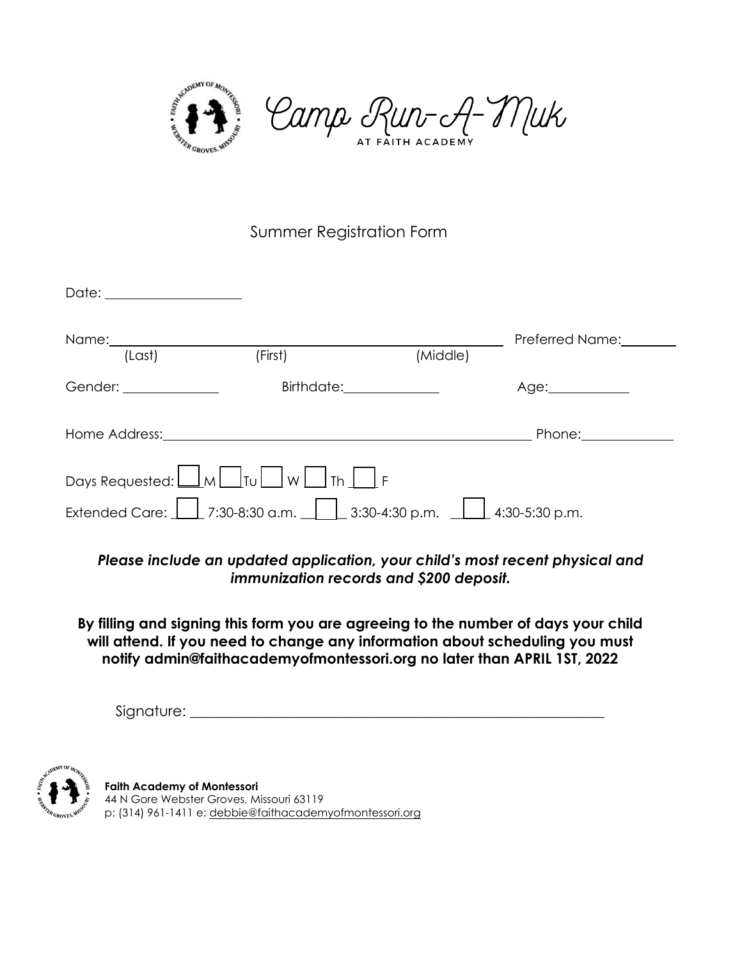

## Summer Registration Form

| Date: <u>Date: Alexander State State State State State State State State State State State State State State State State State State State State State State State State State State State State State State State State State S</u> |                                                                                                                                                                    |          |                       |
|--------------------------------------------------------------------------------------------------------------------------------------------------------------------------------------------------------------------------------------|--------------------------------------------------------------------------------------------------------------------------------------------------------------------|----------|-----------------------|
| Name: Name and the state of the state of the state of the state of the state of the state of the state of the state of the state of the state of the state of the state of the state of the state of the state of the state of       |                                                                                                                                                                    |          | Preferred Name:       |
| (Last)                                                                                                                                                                                                                               | (First)                                                                                                                                                            | (Middle) |                       |
| Gender: Sender: Sender: Sender: Sender: Sender: Sender: Sender: Sender: Sender: Sender: Sender: Sender: Sender                                                                                                                       |                                                                                                                                                                    |          | Age:_____________     |
| Home Address:                                                                                                                                                                                                                        |                                                                                                                                                                    |          | Phone:                |
|                                                                                                                                                                                                                                      | Days Requested: $\boxed{\underline{\hspace{1cm}}\hspace{1cm}}$ M $\boxed{\phantom{1}}$ Tu $\boxed{\phantom{1}}$ W $\boxed{\phantom{1}}$ Th $\boxed{\phantom{1}}$ F |          |                       |
| Extended Care: L                                                                                                                                                                                                                     | $\perp$ 7:30-8:30 a.m. $\perp$ 3:30-4:30 p.m.                                                                                                                      |          | $\Box$ 4:30-5:30 p.m. |

*Please include an updated application, your child's most recent physical and immunization records and \$200 deposit.*

**By filling and signing this form you are agreeing to the number of days your child will attend. If you need to change any information about scheduling you must notify admin@faithacademyofmontessori.org no later than APRIL 1ST, 2022**

Signature: \_\_\_\_\_\_\_\_\_\_\_\_\_\_\_\_\_\_\_\_\_\_\_\_\_\_\_\_\_\_\_\_\_\_\_\_\_\_\_\_\_\_\_\_\_\_\_\_\_\_\_\_\_\_\_\_\_



**Faith Academy of Montessori**  44 N Gore Webster Groves, Missouri 63119 p: (314) 961-1411 e: debbie@faithacademyofmontessori.org